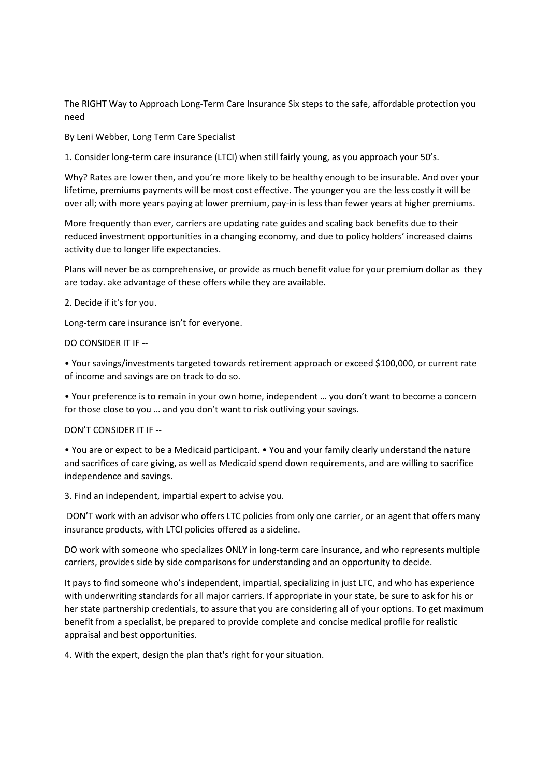The RIGHT Way to Approach Long-Term Care Insurance Six steps to the safe, affordable protection you need

By Leni Webber, Long Term Care Specialist

1. Consider long-term care insurance (LTCI) when still fairly young, as you approach your 50's.

Why? Rates are lower then, and you're more likely to be healthy enough to be insurable. And over your lifetime, premiums payments will be most cost effective. The younger you are the less costly it will be over all; with more years paying at lower premium, pay-in is less than fewer years at higher premiums.

More frequently than ever, carriers are updating rate guides and scaling back benefits due to their reduced investment opportunities in a changing economy, and due to policy holders' increased claims activity due to longer life expectancies.

Plans will never be as comprehensive, or provide as much benefit value for your premium dollar as they are today. ake advantage of these offers while they are available.

2. Decide if it's for you.

Long-term care insurance isn't for everyone.

DO CONSIDER IT IF

• Your savings/investments targeted towards retirement approach or exceed \$100,000, or current rate of income and savings are on track to do so.

• Your preference is to remain in your own home, independent … you don't want to become a concern for those close to you … and you don't want to risk outliving your savings.

DON'T CONSIDER IT IF

• You are or expect to be a Medicaid participant. • You and your family clearly understand the nature and sacrifices of care giving, as well as Medicaid spend down requirements, and are willing to sacrifice independence and savings.

3. Find an independent, impartial expert to advise you.

DON'T work with an advisor who offers LTC policies from only one carrier, or an agent that offers many insurance products, with LTCI policies offered as a sideline.

DO work with someone who specializes ONLY in long-term care insurance, and who represents multiple carriers, provides side by side comparisons for understanding and an opportunity to decide.

It pays to find someone who's independent, impartial, specializing in just LTC, and who has experience with underwriting standards for all major carriers. If appropriate in your state, be sure to ask for his or her state partnership credentials, to assure that you are considering all of your options. To get maximum benefit from a specialist, be prepared to provide complete and concise medical profile for realistic appraisal and best opportunities.

4. With the expert, design the plan that's right for your situation.